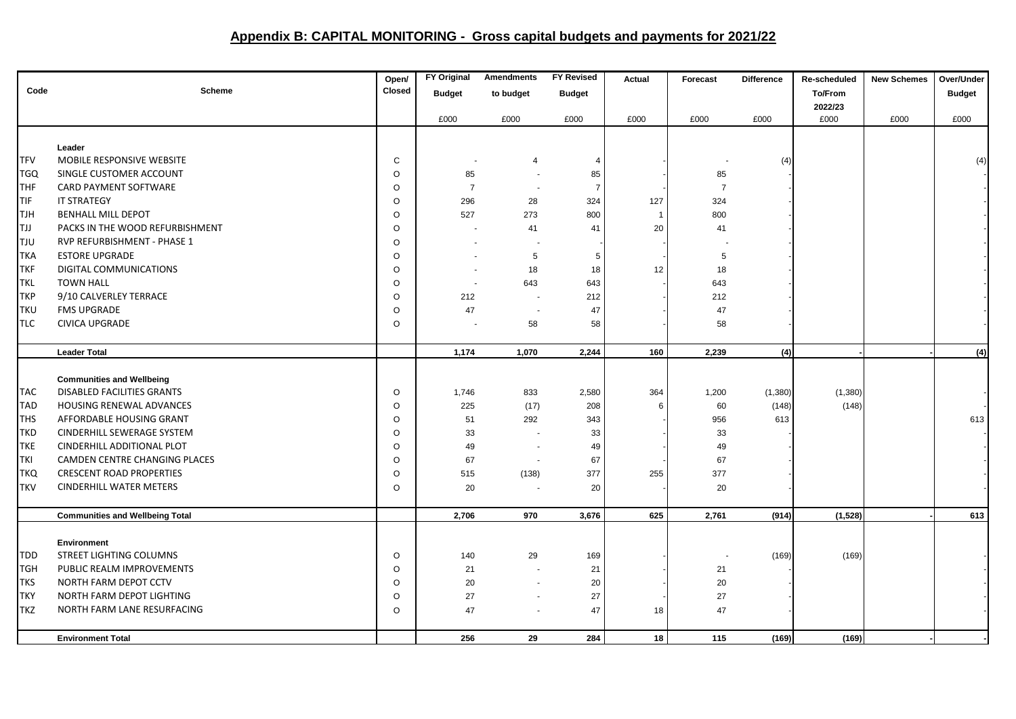## **Appendix B: CAPITAL MONITORING - Gross capital budgets and payments for 2021/22**

|            |                                        | Open/   | <b>FY Original</b> | <b>Amendments</b> | <b>FY Revised</b> | Actual         | Forecast       | <b>Difference</b> | Re-scheduled | <b>New Schemes</b> | Over/Under    |
|------------|----------------------------------------|---------|--------------------|-------------------|-------------------|----------------|----------------|-------------------|--------------|--------------------|---------------|
| Code       | <b>Scheme</b>                          | Closed  | <b>Budget</b>      | to budget         | <b>Budget</b>     |                |                |                   | To/From      |                    | <b>Budget</b> |
|            |                                        |         |                    |                   |                   |                |                |                   | 2022/23      |                    |               |
|            |                                        |         | £000               | £000              | £000              | £000           | £000           | £000              | £000         | £000               | £000          |
|            |                                        |         |                    |                   |                   |                |                |                   |              |                    |               |
|            | Leader                                 |         |                    |                   |                   |                |                |                   |              |                    |               |
| <b>TFV</b> | MOBILE RESPONSIVE WEBSITE              | C       |                    |                   | 4                 |                |                | (4)               |              |                    | (4)           |
| <b>TGQ</b> | SINGLE CUSTOMER ACCOUNT                | O       | 85                 |                   | 85                |                | 85             |                   |              |                    |               |
| THF        | CARD PAYMENT SOFTWARE                  | O       | $\overline{7}$     |                   | $\overline{7}$    |                | $\overline{7}$ |                   |              |                    |               |
| TIF        | <b>IT STRATEGY</b>                     | $\circ$ | 296                | 28                | 324               | 127            | 324            |                   |              |                    |               |
| <b>TJH</b> | <b>BENHALL MILL DEPOT</b>              | $\circ$ | 527                | 273               | 800               | $\overline{1}$ | 800            |                   |              |                    |               |
| <b>TJJ</b> | PACKS IN THE WOOD REFURBISHMENT        | O       |                    | 41                | 41                | 20             | 41             |                   |              |                    |               |
| <b>TJU</b> | RVP REFURBISHMENT - PHASE 1            | $\circ$ |                    |                   |                   |                |                |                   |              |                    |               |
| <b>TKA</b> | <b>ESTORE UPGRADE</b>                  | O       |                    | 5                 | 5                 |                | 5              |                   |              |                    |               |
| <b>TKF</b> | DIGITAL COMMUNICATIONS                 | $\circ$ |                    | 18                | 18                | 12             | 18             |                   |              |                    |               |
| <b>TKL</b> | <b>TOWN HALL</b>                       | $\circ$ | $\sim$             | 643               | 643               |                | 643            |                   |              |                    |               |
| <b>TKP</b> | 9/10 CALVERLEY TERRACE                 | $\circ$ | 212                |                   | 212               |                | 212            |                   |              |                    |               |
| <b>TKU</b> | <b>FMS UPGRADE</b>                     | $\circ$ | 47                 |                   | 47                |                | 47             |                   |              |                    |               |
| <b>TLC</b> | <b>CIVICA UPGRADE</b>                  | $\circ$ |                    | 58                | 58                |                | 58             |                   |              |                    |               |
|            |                                        |         |                    |                   |                   |                |                |                   |              |                    |               |
|            | <b>Leader Total</b>                    |         | 1,174              | 1,070             | 2,244             | 160            | 2,239          | (4)               |              |                    | (4)           |
|            |                                        |         |                    |                   |                   |                |                |                   |              |                    |               |
|            | <b>Communities and Wellbeing</b>       |         |                    |                   |                   |                |                |                   |              |                    |               |
| <b>TAC</b> | <b>DISABLED FACILITIES GRANTS</b>      | $\circ$ | 1,746              | 833               | 2,580             | 364            | 1,200          | (1,380)           | (1,380)      |                    |               |
| <b>TAD</b> | HOUSING RENEWAL ADVANCES               | $\circ$ | 225                | (17)              | 208               | 6              | 60             | (148)             | (148)        |                    |               |
| <b>THS</b> | AFFORDABLE HOUSING GRANT               | $\circ$ | 51                 | 292               | 343               |                | 956            | 613               |              |                    | 613           |
| <b>TKD</b> | CINDERHILL SEWERAGE SYSTEM             | $\circ$ | 33                 |                   | 33                |                | 33             |                   |              |                    |               |
| <b>TKE</b> | CINDERHILL ADDITIONAL PLOT             | $\circ$ | 49                 |                   | 49                |                | 49             |                   |              |                    |               |
| <b>TKI</b> | CAMDEN CENTRE CHANGING PLACES          | O       | 67                 |                   | 67                |                | 67             |                   |              |                    |               |
| <b>TKQ</b> | <b>CRESCENT ROAD PROPERTIES</b>        | $\circ$ | 515                | (138)             | 377               | 255            | 377            |                   |              |                    |               |
| <b>TKV</b> | <b>CINDERHILL WATER METERS</b>         | $\circ$ | 20                 |                   | 20                |                | 20             |                   |              |                    |               |
|            |                                        |         |                    |                   |                   |                |                |                   |              |                    |               |
|            | <b>Communities and Wellbeing Total</b> |         | 2,706              | 970               | 3,676             | 625            | 2,761          | (914)             | (1,528)      |                    | 613           |
|            | <b>Environment</b>                     |         |                    |                   |                   |                |                |                   |              |                    |               |
| TDD        | STREET LIGHTING COLUMNS                | $\circ$ | 140                | 29                | 169               |                |                | (169)             | (169)        |                    |               |
| <b>TGH</b> | PUBLIC REALM IMPROVEMENTS              | $\circ$ | 21                 |                   | 21                |                | 21             |                   |              |                    |               |
| <b>TKS</b> | NORTH FARM DEPOT CCTV                  | O       | 20                 |                   | 20                |                | 20             |                   |              |                    |               |
| <b>TKY</b> | NORTH FARM DEPOT LIGHTING              | $\circ$ | 27                 |                   | 27                |                | 27             |                   |              |                    |               |
| <b>TKZ</b> | NORTH FARM LANE RESURFACING            | $\circ$ | 47                 |                   | 47                | 18             | 47             |                   |              |                    |               |
|            |                                        |         |                    |                   |                   |                |                |                   |              |                    |               |
|            | <b>Environment Total</b>               |         | 256                | 29                | 284               | 18             | 115            | (169)             | (169)        |                    |               |
|            |                                        |         |                    |                   |                   |                |                |                   |              |                    |               |